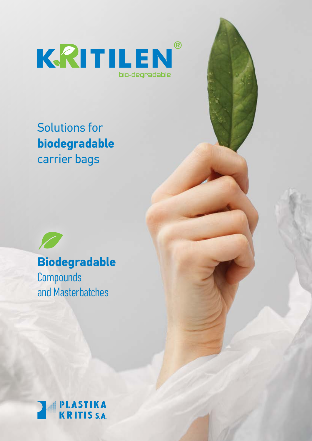

### Solutions for **biodegradable** carrier bags



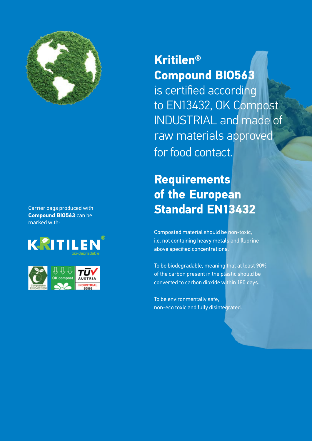

#### Carrier bags produced with **Compound BIO563** can be marked with:





#### **Kritilen® Compound BIO563**

is certified according to EN13432, OK Compost INDUSTRIAL and made of raw materials approved for food contact.

#### **Requirements of the European Standard EN13432**

Composted material should be non-toxic, i.e. not containing heavy metals and fluorine above specified concentrations.

To be biodegradable, meaning that at least 90% of the carbon present in the plastic should be converted to carbon dioxide within 180 days.

To be environmentally safe, non-eco toxic and fully disintegrated.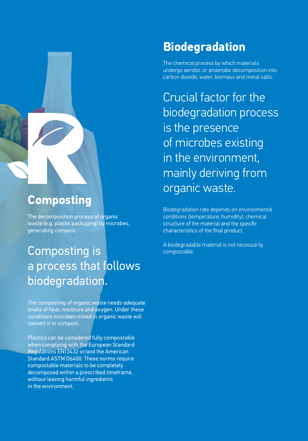

#### **Composting**

The decomposition process of organic waste (e.g. plastic packaging) by microbes, generating compost.

### Composting is a process that follows biodegradation.

The composting of organic waste needs adequate levels of heat, moisture and oxygen. Under these conditions microbes mixed in organic waste will convert it to compost.

Plastics can be considered fully compostable when complying with the European Standard Regulations EN13432 or/and the American Standard ASTM D6400. These norms require compostable materials to be completely decomposed within a prescribed timeframe, without leaving harmful ingredients in the environment.

#### **Biodegradation**

The chemical process by which materials undergo aerobic or anaerobic decomposition into carbon dioxide, water, biomass and metal salts.

Crucial factor for the biodegradation process is the presence of microbes existing in the environment, mainly deriving from organic waste.

Biodegradation rate depends on environmental conditions (temperature, humidity), chemical structure of the material and the specific characteristics of the final product.

A biodegradable material is not necessarily compostable.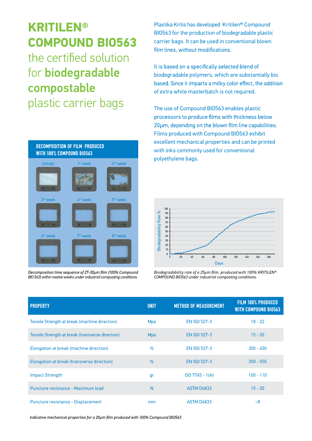## **KRITILEN® COMPOUND BIO563**

#### the certified solution for biodegradable compostable plastic carrier bags

#### **DECOMPOSITION OF FILM PRODUCED WITH 100% COMPOUND BIO563** 1st week 4th week 7th week Initially 3rd week 6th week 2nd week 5<sup>th</sup> weel 8 th week

Plastika Kritis has developed Kritilen**®** Compound BIO563 for the production of biodegradable plastic carrier bags. It can be used in conventional blown film lines, without modifications.

It is based on a specifically selected blend of biodegradable polymers, which are substantially bio based. Since it imparts a milky color effect, the addition of extra white masterbatch is not required.

The use of Compound BIO563 enables plastic processors to produce films with thickness below 20um, depending on the blown film line capabilities. Films produced with Compound BIO563 exhibit excellent mechanical properties and can be printed with inks commonly used for conventional polyethylene bags.



*Biodegradability rate of a 25µm film, produced with 100% KRITILEN® COMPOUND BIO563 under industrial composting conditions.*

| <b>PROPERTY</b>                                  | <b>UNIT</b>   | <b>METHOD OF MEASUREMENT</b> | <b>FILM 100% PRODUCED</b><br><b>WITH COMPOUND BIO563</b> |
|--------------------------------------------------|---------------|------------------------------|----------------------------------------------------------|
| Tensile Strength at break (machine direction)    | Mpa           | <b>EN ISO 527-3</b>          | $18 - 22$                                                |
| Tensile Strength at break (transverse direction) | Mpa           | <b>EN ISO 527-3</b>          | $15 - 20$                                                |
| Elongation at break (machine direction)          | $\%$          | <b>EN ISO 527-3</b>          | $300 - 450$                                              |
| Elongation at break (transverse direction)       | $\frac{0}{0}$ | <b>EN ISO 527-3</b>          | $350 - 550$                                              |
| <b>Impact Strength</b>                           | gr            | $ISO 7765 - 1(A)$            | $100 - 110$                                              |
| Puncture resistance - Maximum load               | N             | <b>ASTM D4833</b>            | $15 - 20$                                                |
| Puncture resistance - Displacement               | mm            | <b>ASTM D4833</b>            | -8                                                       |

Indicative mechanical properties for a 20µm film produced with 100% Compound BIO563

Decomposition time sequence of 27-30um film (100% Compound *BIO 563) within twelve weeks underindustrial composting conditions.*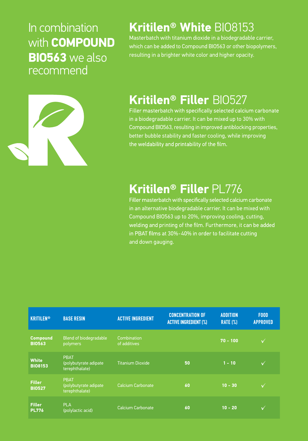#### In combination with **COMPOUND BIO563** we also recommend

#### **Κritilen® White** ΒΙΟ8153

Masterbatch with titanium dioxide in a biodegradable carrier, which can be added to Compound BIO563 or other biopolymers, resulting in a brighter white color and higher opacity.



# **Kritilen® Filler** BIO527<br>Filler masterbatch with specifically selected calcium carbonate

in a biodegradable carrier. It can be mixed up to 30% with Compound BIO563, resulting in improved antiblocking properties, better bubble stability and faster cooling, while improving the weldability and printability of the film.

## **Kritilen<sup>®</sup> Filler** PL776<br>Filler masterbatch with specifically selected calcium carbonate

in an alternative biodegradable carrier. It can be mixed with Compound BIO563 up to 20%, improving cooling, cutting, welding and printing of the film. Furthermore, it can be added in PBAT films at 30%-40% in order to facilitate cutting and down gauging.

| <b>KRITILEN®</b>                 | <b>BASE RESIN</b>                                      | <b>ACTIVE INGREDIENT</b>    | <b>CONCENTRATION OF</b><br><b>ACTIVE INGREDIENT (%)</b> | <b>ADDITION</b><br><b>RATE (%)</b> | <b>FOOD</b><br><b>APPROVED</b> |
|----------------------------------|--------------------------------------------------------|-----------------------------|---------------------------------------------------------|------------------------------------|--------------------------------|
| <b>Compound</b><br><b>BIO563</b> | Blend of biodegradable<br>polymers                     | Combination<br>of additives |                                                         | $70 - 100$                         | $\checkmark$                   |
| <b>White</b><br><b>BIO8153</b>   | <b>PBAT</b><br>(polybutyrate adipate<br>terephthalate) | <b>Titanium Dioxide</b>     | 50                                                      | $1 - 10$                           | $\checkmark$                   |
| <b>Filler</b><br><b>BI0527</b>   | <b>PBAT</b><br>(polybutyrate adipate<br>terephthalate) | Calcium Carbonate           | 60                                                      | $10 - 30$                          | V                              |
| <b>Filler</b><br><b>PL776</b>    | <b>PLA</b><br>(polylactic acid)                        | Calcium Carbonate           | 60                                                      | $10 - 20$                          | $\checkmark$                   |